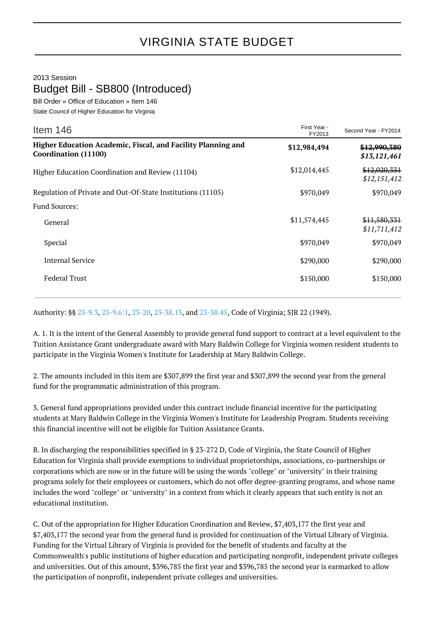## VIRGINIA STATE BUDGET

2013 Session

## Budget Bill - SB800 (Introduced)

Bill Order » Office of Education » Item 146 State Council of Higher Education for Virginia

| Item $146$                                                                           | First Year -<br>FY2013 | Second Year - FY2014         |
|--------------------------------------------------------------------------------------|------------------------|------------------------------|
| Higher Education Academic, Fiscal, and Facility Planning and<br>Coordination (11100) | \$12,984,494           | \$12,990,380<br>\$13,121,461 |
| Higher Education Coordination and Review (11104)                                     | \$12,014,445           | \$12,020,331<br>\$12,151,412 |
| Regulation of Private and Out-Of-State Institutions (11105)                          | \$970,049              | \$970,049                    |
| <b>Fund Sources:</b>                                                                 |                        |                              |
| General                                                                              | \$11,574,445           | \$11,580,331<br>\$11,711,412 |
| Special                                                                              | \$970,049              | \$970,049                    |
| <b>Internal Service</b>                                                              | \$290,000              | \$290,000                    |
| <b>Federal Trust</b>                                                                 | \$150,000              | \$150,000                    |

Authority: §§ [23-9.3](http://law.lis.virginia.gov/vacode/23-9.3/), [23-9.6:1](http://law.lis.virginia.gov/vacode/23-9.6:1/), [23-20](http://law.lis.virginia.gov/vacode/23-20/), [23-38.13](http://law.lis.virginia.gov/vacode/23-38.13/), and [23-38.45](http://law.lis.virginia.gov/vacode/23-38.45/), Code of Virginia; SJR 22 (1949).

A. 1. It is the intent of the General Assembly to provide general fund support to contract at a level equivalent to the Tuition Assistance Grant undergraduate award with Mary Baldwin College for Virginia women resident students to participate in the Virginia Women's Institute for Leadership at Mary Baldwin College.

2. The amounts included in this item are \$307,899 the first year and \$307,899 the second year from the general fund for the programmatic administration of this program.

3. General fund appropriations provided under this contract include financial incentive for the participating students at Mary Baldwin College in the Virginia Women's Institute for Leadership Program. Students receiving this financial incentive will not be eligible for Tuition Assistance Grants.

B. In discharging the responsibilities specified in § 23-272 D, Code of Virginia, the State Council of Higher Education for Virginia shall provide exemptions to individual proprietorships, associations, co-partnerships or corporations which are now or in the future will be using the words "college" or "university" in their training programs solely for their employees or customers, which do not offer degree-granting programs, and whose name includes the word "college" or "university" in a context from which it clearly appears that such entity is not an educational institution.

C. Out of the appropriation for Higher Education Coordination and Review, \$7,403,177 the first year and \$7,403,177 the second year from the general fund is provided for continuation of the Virtual Library of Virginia. Funding for the Virtual Library of Virginia is provided for the benefit of students and faculty at the Commonwealth's public institutions of higher education and participating nonprofit, independent private colleges and universities. Out of this amount, \$396,785 the first year and \$396,785 the second year is earmarked to allow the participation of nonprofit, independent private colleges and universities.